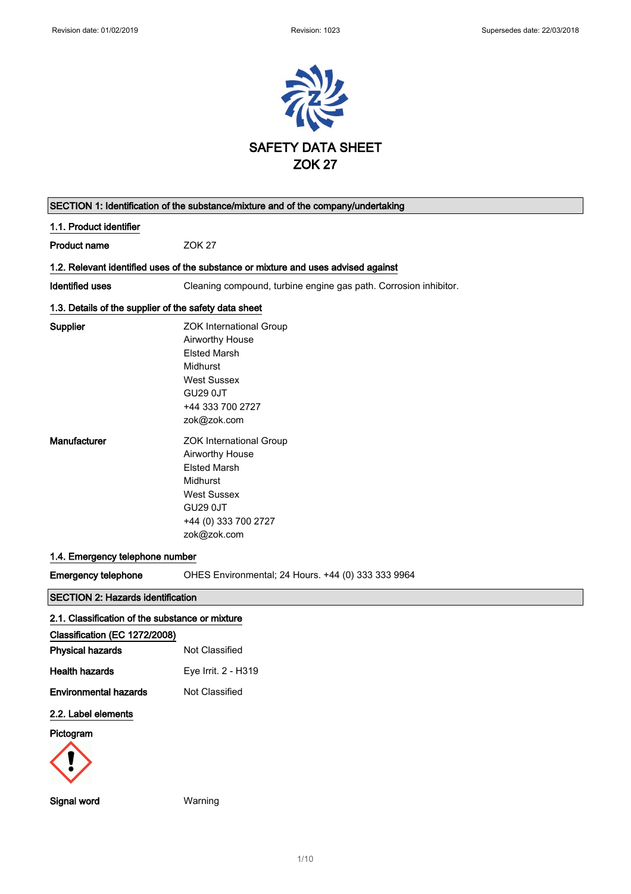

| SECTION 1: Identification of the substance/mixture and of the company/undertaking                                                                                                           |                                                                                                                                                                                                                                                          |  |
|---------------------------------------------------------------------------------------------------------------------------------------------------------------------------------------------|----------------------------------------------------------------------------------------------------------------------------------------------------------------------------------------------------------------------------------------------------------|--|
| 1.1. Product identifier                                                                                                                                                                     |                                                                                                                                                                                                                                                          |  |
| <b>Product name</b>                                                                                                                                                                         | <b>ZOK 27</b>                                                                                                                                                                                                                                            |  |
|                                                                                                                                                                                             | 1.2. Relevant identified uses of the substance or mixture and uses advised against                                                                                                                                                                       |  |
| <b>Identified uses</b>                                                                                                                                                                      | Cleaning compound, turbine engine gas path. Corrosion inhibitor.                                                                                                                                                                                         |  |
| 1.3. Details of the supplier of the safety data sheet                                                                                                                                       |                                                                                                                                                                                                                                                          |  |
| Supplier<br>Manufacturer                                                                                                                                                                    | <b>ZOK International Group</b><br>Airworthy House<br><b>Elsted Marsh</b><br>Midhurst<br><b>West Sussex</b><br><b>GU29 0JT</b><br>+44 333 700 2727<br>zok@zok.com<br><b>ZOK International Group</b><br>Airworthy House<br><b>Elsted Marsh</b><br>Midhurst |  |
| 1.4. Emergency telephone number<br><b>Emergency telephone</b>                                                                                                                               | <b>West Sussex</b><br><b>GU29 0JT</b><br>+44 (0) 333 700 2727<br>zok@zok.com<br>OHES Environmental; 24 Hours. +44 (0) 333 333 9964                                                                                                                       |  |
| <b>SECTION 2: Hazards identification</b>                                                                                                                                                    |                                                                                                                                                                                                                                                          |  |
| 2.1. Classification of the substance or mixture<br>Classification (EC 1272/2008)<br><b>Physical hazards</b><br><b>Health hazards</b><br><b>Environmental hazards</b><br>2.2. Label elements | Not Classified<br>Eye Irrit. 2 - H319<br>Not Classified                                                                                                                                                                                                  |  |
| Pictogram                                                                                                                                                                                   |                                                                                                                                                                                                                                                          |  |

Signal word Warning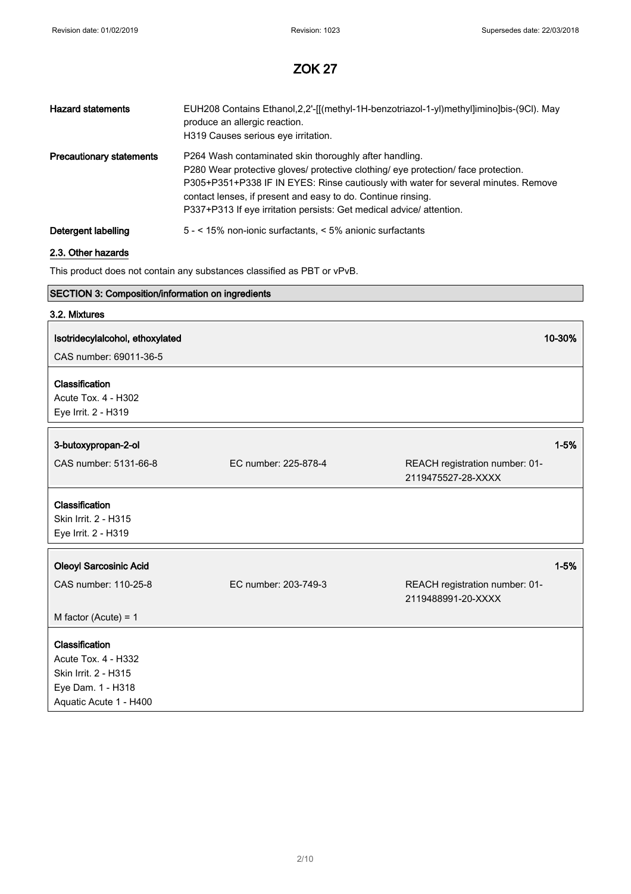| <b>Hazard statements</b>        | EUH208 Contains Ethanol,2,2'-[[(methyl-1H-benzotriazol-1-yl)methyl]imino]bis-(9Cl). May<br>produce an allergic reaction.<br>H319 Causes serious eve irritation.                                                                                                                                                                                                            |
|---------------------------------|----------------------------------------------------------------------------------------------------------------------------------------------------------------------------------------------------------------------------------------------------------------------------------------------------------------------------------------------------------------------------|
| <b>Precautionary statements</b> | P264 Wash contaminated skin thoroughly after handling.<br>P280 Wear protective gloves/ protective clothing/ eye protection/ face protection.<br>P305+P351+P338 IF IN EYES: Rinse cautiously with water for several minutes. Remove<br>contact lenses, if present and easy to do. Continue rinsing.<br>P337+P313 If eye irritation persists: Get medical advice/ attention. |
| Detergent labelling             | 5 - < 15% non-ionic surfactants, < 5% anionic surfactants                                                                                                                                                                                                                                                                                                                  |

## 2.3. Other hazards

This product does not contain any substances classified as PBT or vPvB.

## SECTION 3: Composition/information on ingredients

| 3.2. Mixtures                                                                                                       |                      |                                                      |          |
|---------------------------------------------------------------------------------------------------------------------|----------------------|------------------------------------------------------|----------|
| Isotridecylalcohol, ethoxylated                                                                                     |                      |                                                      | 10-30%   |
| CAS number: 69011-36-5                                                                                              |                      |                                                      |          |
| Classification                                                                                                      |                      |                                                      |          |
| Acute Tox. 4 - H302                                                                                                 |                      |                                                      |          |
| Eye Irrit. 2 - H319                                                                                                 |                      |                                                      |          |
| 3-butoxypropan-2-ol                                                                                                 |                      |                                                      | $1 - 5%$ |
| CAS number: 5131-66-8                                                                                               | EC number: 225-878-4 | REACH registration number: 01-                       |          |
|                                                                                                                     |                      | 2119475527-28-XXXX                                   |          |
| Classification<br>Skin Irrit. 2 - H315<br>Eye Irrit. 2 - H319                                                       |                      |                                                      |          |
| <b>Oleoyl Sarcosinic Acid</b>                                                                                       |                      |                                                      | $1 - 5%$ |
| CAS number: 110-25-8                                                                                                | EC number: 203-749-3 | REACH registration number: 01-<br>2119488991-20-XXXX |          |
| M factor (Acute) = $1$                                                                                              |                      |                                                      |          |
| Classification<br><b>Acute Tox. 4 - H332</b><br>Skin Irrit. 2 - H315<br>Eye Dam. 1 - H318<br>Aquatic Acute 1 - H400 |                      |                                                      |          |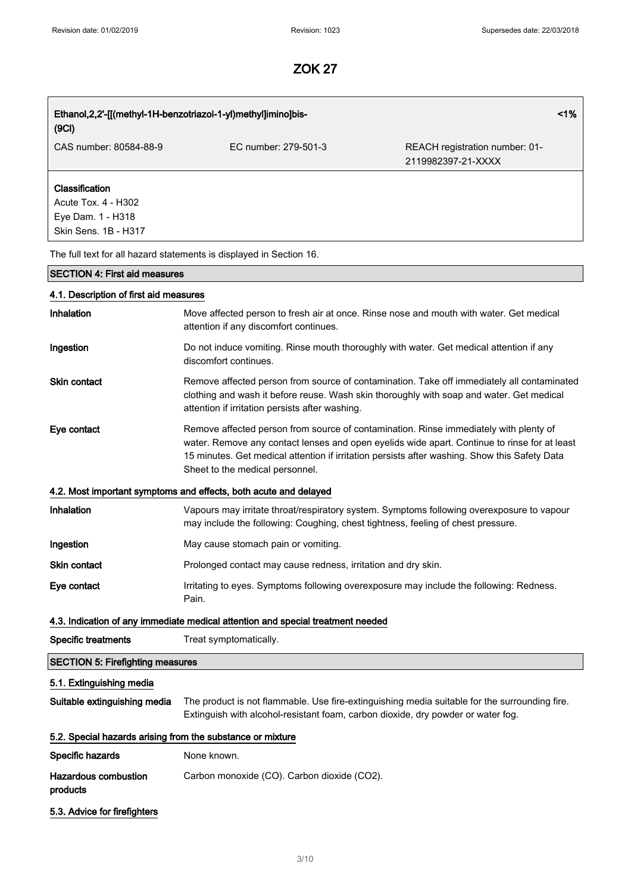| 1%<br>Ethanol, 2, 2'-[[(methyl-1H-benzotriazol-1-yl)methyl]imino]bis- |                                                                                                                                                                                                                                                                                                                           |                                                      |  |
|-----------------------------------------------------------------------|---------------------------------------------------------------------------------------------------------------------------------------------------------------------------------------------------------------------------------------------------------------------------------------------------------------------------|------------------------------------------------------|--|
| (9CI)                                                                 |                                                                                                                                                                                                                                                                                                                           |                                                      |  |
| CAS number: 80584-88-9                                                | EC number: 279-501-3                                                                                                                                                                                                                                                                                                      | REACH registration number: 01-<br>2119982397-21-XXXX |  |
| Classification                                                        |                                                                                                                                                                                                                                                                                                                           |                                                      |  |
| Acute Tox. 4 - H302                                                   |                                                                                                                                                                                                                                                                                                                           |                                                      |  |
| Eye Dam. 1 - H318                                                     |                                                                                                                                                                                                                                                                                                                           |                                                      |  |
| Skin Sens. 1B - H317                                                  |                                                                                                                                                                                                                                                                                                                           |                                                      |  |
|                                                                       | The full text for all hazard statements is displayed in Section 16.                                                                                                                                                                                                                                                       |                                                      |  |
| <b>SECTION 4: First aid measures</b>                                  |                                                                                                                                                                                                                                                                                                                           |                                                      |  |
| 4.1. Description of first aid measures                                |                                                                                                                                                                                                                                                                                                                           |                                                      |  |
| Inhalation                                                            | Move affected person to fresh air at once. Rinse nose and mouth with water. Get medical<br>attention if any discomfort continues.                                                                                                                                                                                         |                                                      |  |
| Ingestion                                                             | Do not induce vomiting. Rinse mouth thoroughly with water. Get medical attention if any<br>discomfort continues.                                                                                                                                                                                                          |                                                      |  |
| <b>Skin contact</b>                                                   | Remove affected person from source of contamination. Take off immediately all contaminated<br>clothing and wash it before reuse. Wash skin thoroughly with soap and water. Get medical<br>attention if irritation persists after washing.                                                                                 |                                                      |  |
| Eye contact                                                           | Remove affected person from source of contamination. Rinse immediately with plenty of<br>water. Remove any contact lenses and open eyelids wide apart. Continue to rinse for at least<br>15 minutes. Get medical attention if irritation persists after washing. Show this Safety Data<br>Sheet to the medical personnel. |                                                      |  |
|                                                                       | 4.2. Most important symptoms and effects, both acute and delayed                                                                                                                                                                                                                                                          |                                                      |  |
| Inhalation                                                            | Vapours may irritate throat/respiratory system. Symptoms following overexposure to vapour<br>may include the following: Coughing, chest tightness, feeling of chest pressure.                                                                                                                                             |                                                      |  |
| Ingestion                                                             | May cause stomach pain or vomiting.                                                                                                                                                                                                                                                                                       |                                                      |  |
| Skin contact                                                          | Prolonged contact may cause redness, irritation and dry skin.                                                                                                                                                                                                                                                             |                                                      |  |
| Eye contact                                                           | Irritating to eyes. Symptoms following overexposure may include the following: Redness.<br>Pain.                                                                                                                                                                                                                          |                                                      |  |
|                                                                       | 4.3. Indication of any immediate medical attention and special treatment needed                                                                                                                                                                                                                                           |                                                      |  |
| <b>Specific treatments</b>                                            | Treat symptomatically.                                                                                                                                                                                                                                                                                                    |                                                      |  |
| <b>SECTION 5: Firefighting measures</b>                               |                                                                                                                                                                                                                                                                                                                           |                                                      |  |
| 5.1. Extinguishing media                                              |                                                                                                                                                                                                                                                                                                                           |                                                      |  |
| Suitable extinguishing media                                          | The product is not flammable. Use fire-extinguishing media suitable for the surrounding fire.<br>Extinguish with alcohol-resistant foam, carbon dioxide, dry powder or water fog.                                                                                                                                         |                                                      |  |
| 5.2. Special hazards arising from the substance or mixture            |                                                                                                                                                                                                                                                                                                                           |                                                      |  |
| Specific hazards                                                      | None known.                                                                                                                                                                                                                                                                                                               |                                                      |  |
| <b>Hazardous combustion</b><br>products                               | Carbon monoxide (CO). Carbon dioxide (CO2).                                                                                                                                                                                                                                                                               |                                                      |  |
| 5.3. Advice for firefighters                                          |                                                                                                                                                                                                                                                                                                                           |                                                      |  |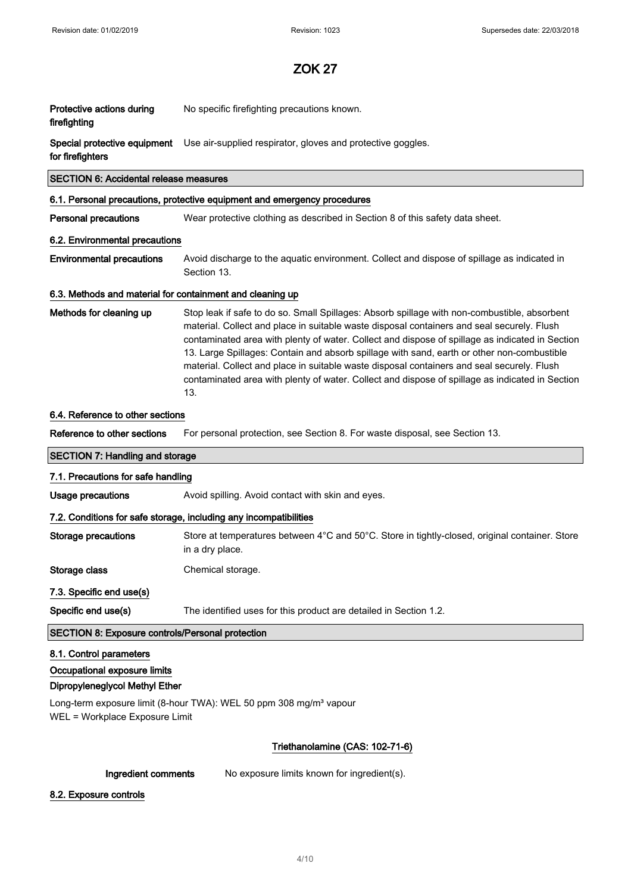| Protective actions during<br>firefighting                         | No specific firefighting precautions known.                                                                                                                                                                                                                                                                                                                                                                                                                                                                                                                                                         |  |
|-------------------------------------------------------------------|-----------------------------------------------------------------------------------------------------------------------------------------------------------------------------------------------------------------------------------------------------------------------------------------------------------------------------------------------------------------------------------------------------------------------------------------------------------------------------------------------------------------------------------------------------------------------------------------------------|--|
| for firefighters                                                  | Special protective equipment Use air-supplied respirator, gloves and protective goggles.                                                                                                                                                                                                                                                                                                                                                                                                                                                                                                            |  |
| <b>SECTION 6: Accidental release measures</b>                     |                                                                                                                                                                                                                                                                                                                                                                                                                                                                                                                                                                                                     |  |
|                                                                   | 6.1. Personal precautions, protective equipment and emergency procedures                                                                                                                                                                                                                                                                                                                                                                                                                                                                                                                            |  |
| <b>Personal precautions</b>                                       | Wear protective clothing as described in Section 8 of this safety data sheet.                                                                                                                                                                                                                                                                                                                                                                                                                                                                                                                       |  |
| 6.2. Environmental precautions                                    |                                                                                                                                                                                                                                                                                                                                                                                                                                                                                                                                                                                                     |  |
| <b>Environmental precautions</b>                                  | Avoid discharge to the aquatic environment. Collect and dispose of spillage as indicated in<br>Section 13.                                                                                                                                                                                                                                                                                                                                                                                                                                                                                          |  |
| 6.3. Methods and material for containment and cleaning up         |                                                                                                                                                                                                                                                                                                                                                                                                                                                                                                                                                                                                     |  |
| Methods for cleaning up                                           | Stop leak if safe to do so. Small Spillages: Absorb spillage with non-combustible, absorbent<br>material. Collect and place in suitable waste disposal containers and seal securely. Flush<br>contaminated area with plenty of water. Collect and dispose of spillage as indicated in Section<br>13. Large Spillages: Contain and absorb spillage with sand, earth or other non-combustible<br>material. Collect and place in suitable waste disposal containers and seal securely. Flush<br>contaminated area with plenty of water. Collect and dispose of spillage as indicated in Section<br>13. |  |
| 6.4. Reference to other sections                                  |                                                                                                                                                                                                                                                                                                                                                                                                                                                                                                                                                                                                     |  |
| Reference to other sections                                       | For personal protection, see Section 8. For waste disposal, see Section 13.                                                                                                                                                                                                                                                                                                                                                                                                                                                                                                                         |  |
| <b>SECTION 7: Handling and storage</b>                            |                                                                                                                                                                                                                                                                                                                                                                                                                                                                                                                                                                                                     |  |
| 7.1. Precautions for safe handling                                |                                                                                                                                                                                                                                                                                                                                                                                                                                                                                                                                                                                                     |  |
| <b>Usage precautions</b>                                          | Avoid spilling. Avoid contact with skin and eyes.                                                                                                                                                                                                                                                                                                                                                                                                                                                                                                                                                   |  |
| 7.2. Conditions for safe storage, including any incompatibilities |                                                                                                                                                                                                                                                                                                                                                                                                                                                                                                                                                                                                     |  |
|                                                                   |                                                                                                                                                                                                                                                                                                                                                                                                                                                                                                                                                                                                     |  |
| <b>Storage precautions</b>                                        | Store at temperatures between 4°C and 50°C. Store in tightly-closed, original container. Store<br>in a dry place.                                                                                                                                                                                                                                                                                                                                                                                                                                                                                   |  |
| Storage class                                                     | Chemical storage.                                                                                                                                                                                                                                                                                                                                                                                                                                                                                                                                                                                   |  |
| 7.3. Specific end use(s)                                          |                                                                                                                                                                                                                                                                                                                                                                                                                                                                                                                                                                                                     |  |
| Specific end use(s)                                               | The identified uses for this product are detailed in Section 1.2.                                                                                                                                                                                                                                                                                                                                                                                                                                                                                                                                   |  |
| <b>SECTION 8: Exposure controls/Personal protection</b>           |                                                                                                                                                                                                                                                                                                                                                                                                                                                                                                                                                                                                     |  |
| 8.1. Control parameters                                           |                                                                                                                                                                                                                                                                                                                                                                                                                                                                                                                                                                                                     |  |
| Occupational exposure limits                                      |                                                                                                                                                                                                                                                                                                                                                                                                                                                                                                                                                                                                     |  |
| Dipropyleneglycol Methyl Ether                                    |                                                                                                                                                                                                                                                                                                                                                                                                                                                                                                                                                                                                     |  |
| WEL = Workplace Exposure Limit                                    | Long-term exposure limit (8-hour TWA): WEL 50 ppm 308 mg/m <sup>3</sup> vapour                                                                                                                                                                                                                                                                                                                                                                                                                                                                                                                      |  |
|                                                                   | Triethanolamine (CAS: 102-71-6)                                                                                                                                                                                                                                                                                                                                                                                                                                                                                                                                                                     |  |

8.2. Exposure controls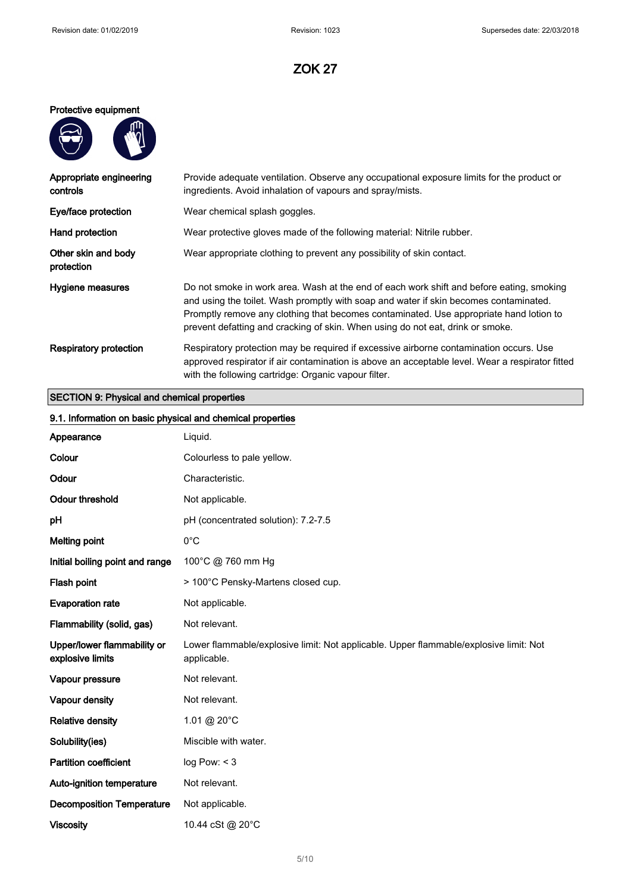#### Protective equipment

| Պ |
|---|
|   |
|   |
|   |

| Appropriate engineering<br>controls | Provide adequate ventilation. Observe any occupational exposure limits for the product or<br>ingredients. Avoid inhalation of vapours and spray/mists.                                                                                                                                                                                                        |
|-------------------------------------|---------------------------------------------------------------------------------------------------------------------------------------------------------------------------------------------------------------------------------------------------------------------------------------------------------------------------------------------------------------|
| Eye/face protection                 | Wear chemical splash goggles.                                                                                                                                                                                                                                                                                                                                 |
| Hand protection                     | Wear protective gloves made of the following material: Nitrile rubber.                                                                                                                                                                                                                                                                                        |
| Other skin and body<br>protection   | Wear appropriate clothing to prevent any possibility of skin contact.                                                                                                                                                                                                                                                                                         |
| Hygiene measures                    | Do not smoke in work area. Wash at the end of each work shift and before eating, smoking<br>and using the toilet. Wash promptly with soap and water if skin becomes contaminated.<br>Promptly remove any clothing that becomes contaminated. Use appropriate hand lotion to<br>prevent defatting and cracking of skin. When using do not eat, drink or smoke. |
| <b>Respiratory protection</b>       | Respiratory protection may be required if excessive airborne contamination occurs. Use<br>approved respirator if air contamination is above an acceptable level. Wear a respirator fitted<br>with the following cartridge: Organic vapour filter.                                                                                                             |

### SECTION 9: Physical and chemical properties

| 9.1. Information on basic physical and chemical properties |                                                                                                      |  |
|------------------------------------------------------------|------------------------------------------------------------------------------------------------------|--|
| Appearance                                                 | Liquid.                                                                                              |  |
| Colour                                                     | Colourless to pale yellow.                                                                           |  |
| Odour                                                      | Characteristic.                                                                                      |  |
| <b>Odour threshold</b>                                     | Not applicable.                                                                                      |  |
| pH                                                         | pH (concentrated solution): 7.2-7.5                                                                  |  |
| <b>Melting point</b>                                       | $0^{\circ}$ C                                                                                        |  |
| Initial boiling point and range                            | 100°C @ 760 mm Hg                                                                                    |  |
| Flash point                                                | > 100°C Pensky-Martens closed cup.                                                                   |  |
| <b>Evaporation rate</b>                                    | Not applicable.                                                                                      |  |
| Flammability (solid, gas)                                  | Not relevant.                                                                                        |  |
| Upper/lower flammability or<br>explosive limits            | Lower flammable/explosive limit: Not applicable. Upper flammable/explosive limit: Not<br>applicable. |  |
| Vapour pressure                                            | Not relevant.                                                                                        |  |
| Vapour density                                             | Not relevant.                                                                                        |  |
| <b>Relative density</b>                                    | 1.01 @ 20°C                                                                                          |  |
| Solubility(ies)                                            | Miscible with water.                                                                                 |  |
| <b>Partition coefficient</b>                               | log Pow: < 3                                                                                         |  |
| Auto-ignition temperature                                  | Not relevant.                                                                                        |  |
| <b>Decomposition Temperature</b>                           | Not applicable.                                                                                      |  |
| <b>Viscosity</b>                                           | 10.44 cSt @ 20°C                                                                                     |  |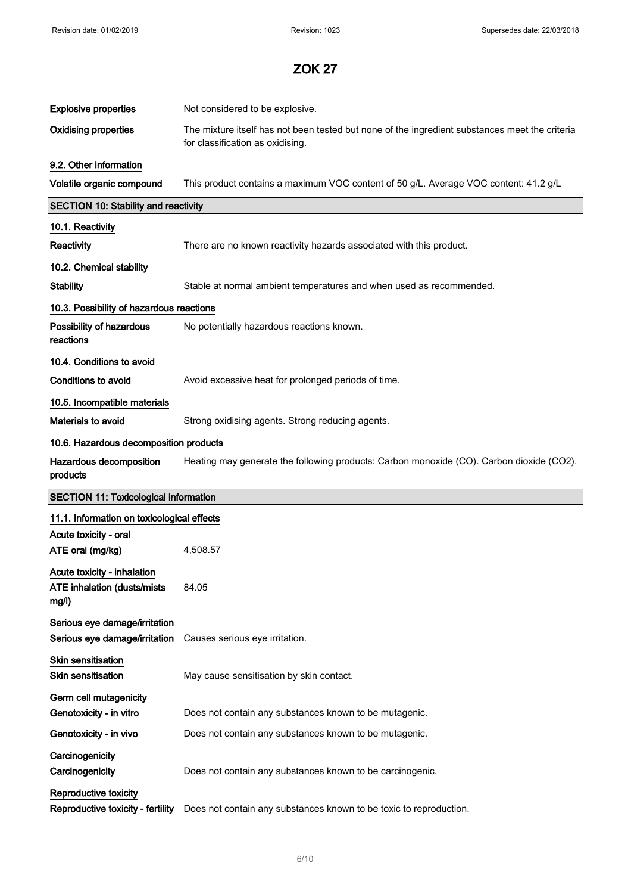| <b>Explosive properties</b>                                                 | Not considered to be explosive.                                                                                                    |
|-----------------------------------------------------------------------------|------------------------------------------------------------------------------------------------------------------------------------|
| <b>Oxidising properties</b>                                                 | The mixture itself has not been tested but none of the ingredient substances meet the criteria<br>for classification as oxidising. |
| 9.2. Other information                                                      |                                                                                                                                    |
| Volatile organic compound                                                   | This product contains a maximum VOC content of 50 g/L. Average VOC content: 41.2 g/L                                               |
| <b>SECTION 10: Stability and reactivity</b>                                 |                                                                                                                                    |
| 10.1. Reactivity                                                            |                                                                                                                                    |
| Reactivity                                                                  | There are no known reactivity hazards associated with this product.                                                                |
| 10.2. Chemical stability                                                    |                                                                                                                                    |
| <b>Stability</b>                                                            | Stable at normal ambient temperatures and when used as recommended.                                                                |
| 10.3. Possibility of hazardous reactions                                    |                                                                                                                                    |
| Possibility of hazardous<br>reactions                                       | No potentially hazardous reactions known.                                                                                          |
| 10.4. Conditions to avoid                                                   |                                                                                                                                    |
| <b>Conditions to avoid</b>                                                  | Avoid excessive heat for prolonged periods of time.                                                                                |
| 10.5. Incompatible materials                                                |                                                                                                                                    |
| Materials to avoid                                                          | Strong oxidising agents. Strong reducing agents.                                                                                   |
| 10.6. Hazardous decomposition products                                      |                                                                                                                                    |
| Hazardous decomposition                                                     | Heating may generate the following products: Carbon monoxide (CO). Carbon dioxide (CO2).                                           |
| products                                                                    |                                                                                                                                    |
| <b>SECTION 11: Toxicological information</b>                                |                                                                                                                                    |
| 11.1. Information on toxicological effects                                  |                                                                                                                                    |
| Acute toxicity - oral<br>ATE oral (mg/kg)                                   | 4,508.57                                                                                                                           |
| Acute toxicity - inhalation<br><b>ATE inhalation (dusts/mists)</b><br>mg/l) | 84.05                                                                                                                              |
| Serious eye damage/irritation<br>Serious eye damage/irritation              | Causes serious eye irritation.                                                                                                     |
| Skin sensitisation<br><b>Skin sensitisation</b>                             | May cause sensitisation by skin contact.                                                                                           |
| Germ cell mutagenicity<br>Genotoxicity - in vitro                           | Does not contain any substances known to be mutagenic.                                                                             |
| Genotoxicity - in vivo                                                      | Does not contain any substances known to be mutagenic.                                                                             |
| Carcinogenicity<br>Carcinogenicity                                          | Does not contain any substances known to be carcinogenic.                                                                          |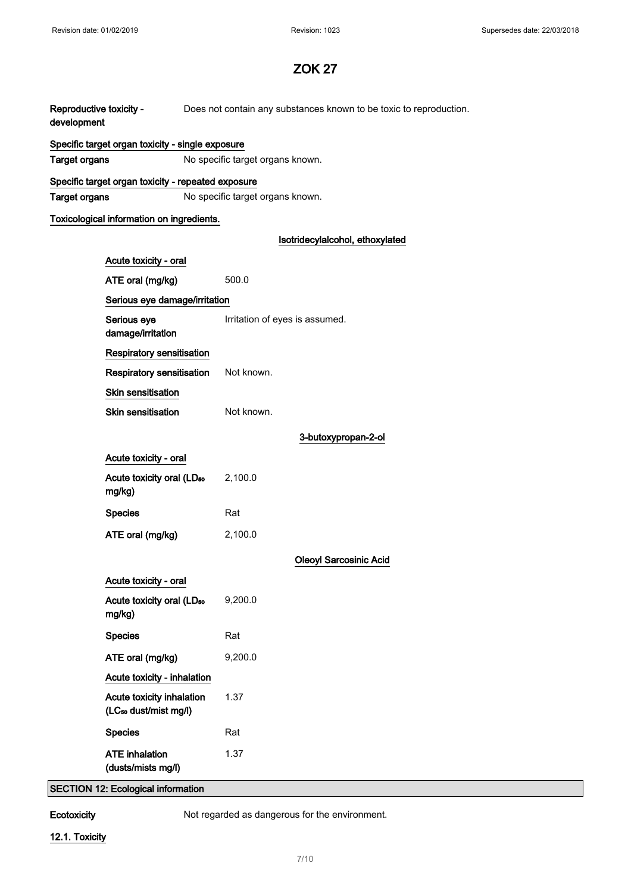| Reproductive toxicity -<br>development |                                                                | Does not contain any substances known to be toxic to reproduction. |  |
|----------------------------------------|----------------------------------------------------------------|--------------------------------------------------------------------|--|
|                                        | Specific target organ toxicity - single exposure               |                                                                    |  |
| <b>Target organs</b>                   |                                                                | No specific target organs known.                                   |  |
|                                        | Specific target organ toxicity - repeated exposure             |                                                                    |  |
| <b>Target organs</b>                   |                                                                | No specific target organs known.                                   |  |
|                                        | Toxicological information on ingredients.                      |                                                                    |  |
|                                        |                                                                | Isotridecylalcohol, ethoxylated                                    |  |
|                                        | Acute toxicity - oral                                          |                                                                    |  |
|                                        | ATE oral (mg/kg)                                               | 500.0                                                              |  |
|                                        | Serious eye damage/irritation                                  |                                                                    |  |
|                                        | Serious eye<br>damage/irritation                               | Irritation of eyes is assumed.                                     |  |
|                                        | Respiratory sensitisation                                      |                                                                    |  |
|                                        | Respiratory sensitisation                                      | Not known.                                                         |  |
|                                        | Skin sensitisation                                             |                                                                    |  |
|                                        | <b>Skin sensitisation</b>                                      | Not known.                                                         |  |
|                                        |                                                                | 3-butoxypropan-2-ol                                                |  |
|                                        | Acute toxicity - oral                                          |                                                                    |  |
|                                        | Acute toxicity oral (LD <sub>50</sub>                          | 2,100.0                                                            |  |
|                                        | mg/kg)                                                         |                                                                    |  |
|                                        | <b>Species</b>                                                 | Rat                                                                |  |
|                                        | ATE oral (mg/kg)                                               | 2,100.0                                                            |  |
|                                        |                                                                | <b>Oleoyl Sarcosinic Acid</b>                                      |  |
|                                        | Acute toxicity - oral                                          |                                                                    |  |
|                                        | Acute toxicity oral (LD <sub>50</sub><br>mg/kg)                | 9,200.0                                                            |  |
|                                        | <b>Species</b>                                                 | Rat                                                                |  |
|                                        | ATE oral (mg/kg)                                               | 9,200.0                                                            |  |
|                                        | Acute toxicity - inhalation                                    |                                                                    |  |
|                                        | Acute toxicity inhalation<br>(LC <sub>50</sub> dust/mist mg/l) | 1.37                                                               |  |
|                                        | <b>Species</b>                                                 | Rat                                                                |  |
|                                        | <b>ATE</b> inhalation<br>(dusts/mists mg/l)                    | 1.37                                                               |  |
|                                        | <b>SECTION 12: Ecological information</b>                      |                                                                    |  |

Ecotoxicity Not regarded as dangerous for the environment.

## 12.1. Toxicity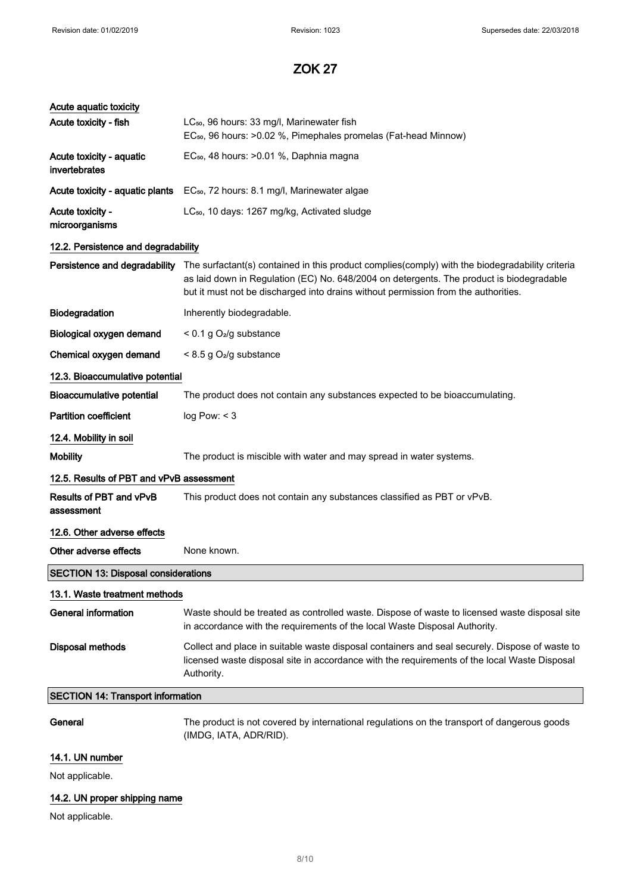| Acute aquatic toxicity                     |                                                                                                                                                                                                                                                                                   |  |
|--------------------------------------------|-----------------------------------------------------------------------------------------------------------------------------------------------------------------------------------------------------------------------------------------------------------------------------------|--|
| Acute toxicity - fish                      | LC <sub>50</sub> , 96 hours: 33 mg/l, Marinewater fish<br>EC <sub>50</sub> , 96 hours: >0.02 %, Pimephales promelas (Fat-head Minnow)                                                                                                                                             |  |
| Acute toxicity - aquatic<br>invertebrates  | EC <sub>50</sub> , 48 hours: > 0.01 %, Daphnia magna                                                                                                                                                                                                                              |  |
| Acute toxicity - aquatic plants            | EC <sub>50</sub> , 72 hours: 8.1 mg/l, Marinewater algae                                                                                                                                                                                                                          |  |
| Acute toxicity -<br>microorganisms         | LC <sub>50</sub> , 10 days: 1267 mg/kg, Activated sludge                                                                                                                                                                                                                          |  |
| 12.2. Persistence and degradability        |                                                                                                                                                                                                                                                                                   |  |
| Persistence and degradability              | The surfactant(s) contained in this product complies(comply) with the biodegradability criteria<br>as laid down in Regulation (EC) No. 648/2004 on detergents. The product is biodegradable<br>but it must not be discharged into drains without permission from the authorities. |  |
| Biodegradation                             | Inherently biodegradable.                                                                                                                                                                                                                                                         |  |
| Biological oxygen demand                   | < 0.1 g O <sub>2</sub> /g substance                                                                                                                                                                                                                                               |  |
| Chemical oxygen demand                     | $< 8.5$ g O <sub>2</sub> /g substance                                                                                                                                                                                                                                             |  |
| 12.3. Bioaccumulative potential            |                                                                                                                                                                                                                                                                                   |  |
| <b>Bioaccumulative potential</b>           | The product does not contain any substances expected to be bioaccumulating.                                                                                                                                                                                                       |  |
| <b>Partition coefficient</b>               | log Pow: < 3                                                                                                                                                                                                                                                                      |  |
| 12.4. Mobility in soil                     |                                                                                                                                                                                                                                                                                   |  |
| <b>Mobility</b>                            | The product is miscible with water and may spread in water systems.                                                                                                                                                                                                               |  |
| 12.5. Results of PBT and vPvB assessment   |                                                                                                                                                                                                                                                                                   |  |
| Results of PBT and vPvB<br>assessment      | This product does not contain any substances classified as PBT or vPvB.                                                                                                                                                                                                           |  |
| 12.6. Other adverse effects                |                                                                                                                                                                                                                                                                                   |  |
| Other adverse effects                      | None known.                                                                                                                                                                                                                                                                       |  |
| <b>SECTION 13: Disposal considerations</b> |                                                                                                                                                                                                                                                                                   |  |
| 13.1. Waste treatment methods              |                                                                                                                                                                                                                                                                                   |  |
| <b>General information</b>                 | Waste should be treated as controlled waste. Dispose of waste to licensed waste disposal site<br>in accordance with the requirements of the local Waste Disposal Authority.                                                                                                       |  |
| Disposal methods                           | Collect and place in suitable waste disposal containers and seal securely. Dispose of waste to<br>licensed waste disposal site in accordance with the requirements of the local Waste Disposal<br>Authority.                                                                      |  |
| <b>SECTION 14: Transport information</b>   |                                                                                                                                                                                                                                                                                   |  |
| General                                    | The product is not covered by international regulations on the transport of dangerous goods<br>(IMDG, IATA, ADR/RID).                                                                                                                                                             |  |
| 14.1. UN number                            |                                                                                                                                                                                                                                                                                   |  |
| Not applicable.                            |                                                                                                                                                                                                                                                                                   |  |

## 14.2. UN proper shipping name

Not applicable.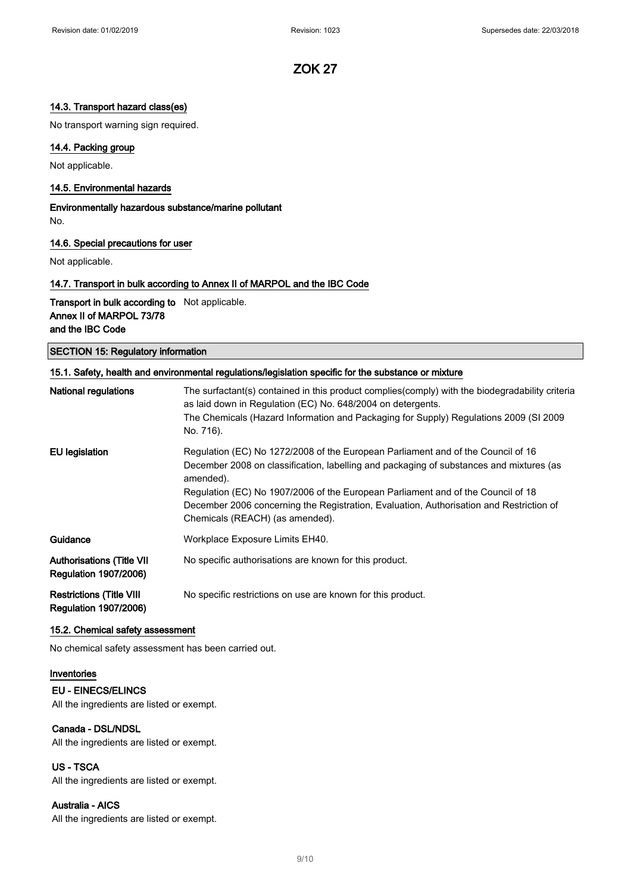### 14.3. Transport hazard class(es)

No transport warning sign required.

### 14.4. Packing group

Not applicable.

#### 14.5. Environmental hazards

Environmentally hazardous substance/marine pollutant No.

#### 14.6. Special precautions for user

Not applicable.

### 14.7. Transport in bulk according to Annex II of MARPOL and the IBC Code

Transport in bulk according to Not applicable. Annex II of MARPOL 73/78 and the IBC Code

SECTION 15: Regulatory information

| 15.1. Safety, health and environmental regulations/legislation specific for the substance or mixture |                                                                                                                                                                                                                                                                                                                                                                                                            |  |
|------------------------------------------------------------------------------------------------------|------------------------------------------------------------------------------------------------------------------------------------------------------------------------------------------------------------------------------------------------------------------------------------------------------------------------------------------------------------------------------------------------------------|--|
| National regulations                                                                                 | The surfactant(s) contained in this product complies (comply) with the biodegradability criteria<br>as laid down in Regulation (EC) No. 648/2004 on detergents.<br>The Chemicals (Hazard Information and Packaging for Supply) Regulations 2009 (SI 2009<br>No. 716).                                                                                                                                      |  |
| <b>EU legislation</b>                                                                                | Regulation (EC) No 1272/2008 of the European Parliament and of the Council of 16<br>December 2008 on classification, labelling and packaging of substances and mixtures (as<br>amended).<br>Regulation (EC) No 1907/2006 of the European Parliament and of the Council of 18<br>December 2006 concerning the Registration, Evaluation, Authorisation and Restriction of<br>Chemicals (REACH) (as amended). |  |
| Guidance                                                                                             | Workplace Exposure Limits EH40.                                                                                                                                                                                                                                                                                                                                                                            |  |
| <b>Authorisations (Title VII</b><br><b>Regulation 1907/2006)</b>                                     | No specific authorisations are known for this product.                                                                                                                                                                                                                                                                                                                                                     |  |
| <b>Restrictions (Title VIII</b><br><b>Regulation 1907/2006)</b>                                      | No specific restrictions on use are known for this product.                                                                                                                                                                                                                                                                                                                                                |  |

#### 15.2. Chemical safety assessment

No chemical safety assessment has been carried out.

#### Inventories

### EU - EINECS/ELINCS

All the ingredients are listed or exempt.

### Canada - DSL/NDSL

All the ingredients are listed or exempt.

### US - TSCA

All the ingredients are listed or exempt.

### Australia - AICS

All the ingredients are listed or exempt.